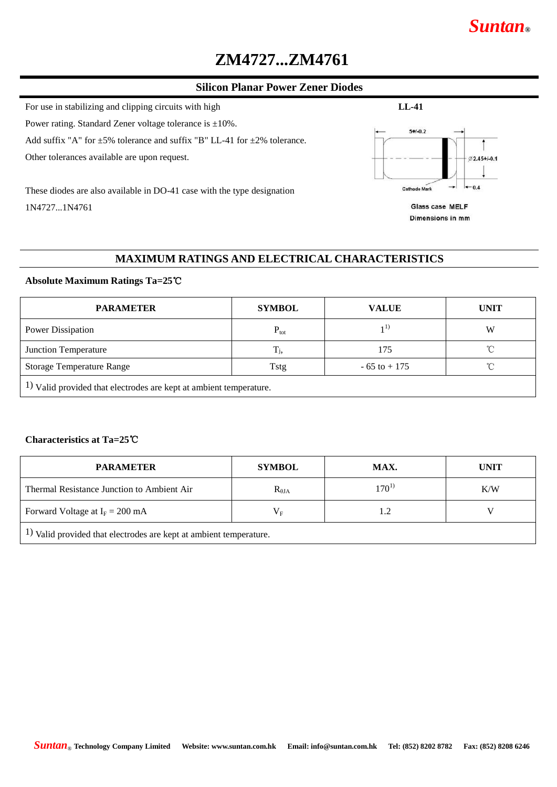# **ZM4727...ZM4761**

#### **Silicon Planar Power Zener Diodes**

For use in stabilizing and clipping circuits with high **LL-41** 

Power rating. Standard Zener voltage tolerance is ±10%.

Add suffix "A" for  $\pm$ 5% tolerance and suffix "B" LL-41 for  $\pm$ 2% tolerance.

Other tolerances available are upon request.

These diodes are also available in DO-41 case with the type designation 1N4727...1N4761



Glass case MELF Dimensions in mm

## **MAXIMUM RATINGS AND ELECTRICAL CHARACTERISTICS**

#### **Absolute Maximum Ratings Ta=25**℃

| <b>PARAMETER</b>                                                                 | <b>SYMBOL</b>    | <b>VALUE</b>    | <b>UNIT</b>  |  |  |  |  |
|----------------------------------------------------------------------------------|------------------|-----------------|--------------|--|--|--|--|
| Power Dissipation                                                                | $P_{\text{tot}}$ |                 | W            |  |  |  |  |
| Junction Temperature                                                             | $T_{j,}$         | 175             | °C           |  |  |  |  |
| <b>Storage Temperature Range</b>                                                 | <b>Tstg</b>      | $-65$ to $+175$ | $^{\circ}$ C |  |  |  |  |
| $\left(1\right)$ Valid provided that electrodes are kept at ambient temperature. |                  |                 |              |  |  |  |  |

## **Characteristics at Ta=25**℃

| <b>PARAMETER</b>                                                                 | <b>SYMBOL</b>   | MAX.       | <b>UNIT</b> |  |
|----------------------------------------------------------------------------------|-----------------|------------|-------------|--|
| Thermal Resistance Junction to Ambient Air                                       | $R_{\theta JA}$ | $170^{11}$ | K/W         |  |
| Forward Voltage at $I_F = 200$ mA                                                | $\rm V_F$       |            |             |  |
| $\left(1\right)$ Valid provided that electrodes are kept at ambient temperature. |                 |            |             |  |

## *Suntan***®**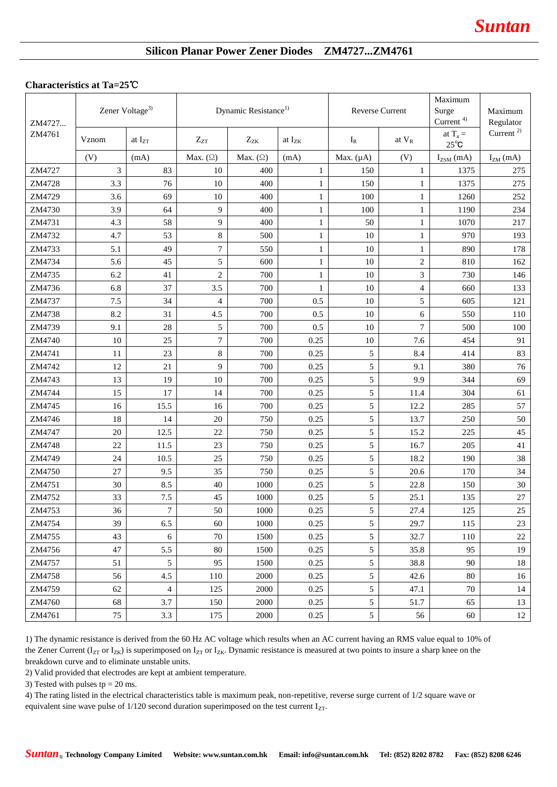## **Silicon Planar Power Zener Diodes ZM4727...ZM4761**

#### **Characteristics at Ta=25**℃

| ZM4727 | Zener Voltage <sup>3)</sup> |                             | Dynamic Resistance <sup>1)</sup> |                 | Reverse Current |                | Maximum<br>Surge<br>Current $4$ ) | Maximum<br>Regulator         |               |
|--------|-----------------------------|-----------------------------|----------------------------------|-----------------|-----------------|----------------|-----------------------------------|------------------------------|---------------|
| ZM4761 | Vznom                       | at $\mathbf{I}_{\text{ZT}}$ | $Z_{ZT}$                         | $Z_{ZK}$        | at $I_{ZK}$     | $I_R$          | at V <sub>R</sub>                 | at $T_a =$<br>$25^{\circ}$ C | Current $2)$  |
|        | (V)                         | (mA)                        | Max. $(\Omega)$                  | Max. $(\Omega)$ | (mA)            | Max. $(\mu A)$ | (V)                               | $I_{ZSM}$ (mA)               | $I_{ZM}$ (mA) |
| ZM4727 | 3                           | 83                          | 10                               | 400             | $\mathbf{1}$    | 150            | $\mathbf{1}$                      | 1375                         | 275           |
| ZM4728 | 3.3                         | 76                          | 10                               | 400             | $\mathbf{1}$    | 150            | $\mathbf{1}$                      | 1375                         | 275           |
| ZM4729 | 3.6                         | 69                          | 10                               | 400             | $\mathbf{1}$    | 100            | $\mathbf{1}$                      | 1260                         | 252           |
| ZM4730 | 3.9                         | 64                          | 9                                | 400             | $\mathbf{1}$    | 100            | $\mathbf{1}$                      | 1190                         | 234           |
| ZM4731 | 4.3                         | 58                          | 9                                | 400             | $\mathbf{1}$    | 50             | $\mathbf{1}$                      | 1070                         | 217           |
| ZM4732 | 4.7                         | 53                          | $\,8\,$                          | 500             | $\mathbf{1}$    | 10             | $\mathbf{1}$                      | 970                          | 193           |
| ZM4733 | 5.1                         | 49                          | $\boldsymbol{7}$                 | 550             | $\mathbf{1}$    | 10             | $\mathbf{1}$                      | 890                          | 178           |
| ZM4734 | 5.6                         | 45                          | 5                                | 600             | $\mathbf{1}$    | 10             | $\sqrt{2}$                        | 810                          | 162           |
| ZM4735 | 6.2                         | 41                          | $\mathbf{2}$                     | 700             | $\mathbf{1}$    | 10             | $\ensuremath{\mathfrak{Z}}$       | 730                          | 146           |
| ZM4736 | 6.8                         | 37                          | 3.5                              | 700             | $\mathbf{1}$    | 10             | $\overline{4}$                    | 660                          | 133           |
| ZM4737 | 7.5                         | 34                          | 4                                | 700             | 0.5             | 10             | 5                                 | 605                          | 121           |
| ZM4738 | 8.2                         | 31                          | 4.5                              | 700             | 0.5             | 10             | 6                                 | 550                          | 110           |
| ZM4739 | 9.1                         | 28                          | 5                                | 700             | 0.5             | 10             | $\tau$                            | 500                          | 100           |
| ZM4740 | 10                          | $25\,$                      | $\tau$                           | 700             | 0.25            | 10             | 7.6                               | 454                          | 91            |
| ZM4741 | 11                          | 23                          | $\,8\,$                          | 700             | 0.25            | 5              | 8.4                               | 414                          | 83            |
| ZM4742 | 12                          | 21                          | 9                                | 700             | 0.25            | 5              | 9.1                               | 380                          | 76            |
| ZM4743 | 13                          | 19                          | 10                               | 700             | 0.25            | 5              | 9.9                               | 344                          | 69            |
| ZM4744 | 15                          | 17                          | 14                               | 700             | 0.25            | 5              | 11.4                              | 304                          | 61            |
| ZM4745 | 16                          | 15.5                        | 16                               | 700             | 0.25            | 5              | 12.2                              | 285                          | 57            |
| ZM4746 | 18                          | 14                          | $20\,$                           | 750             | 0.25            | 5              | 13.7                              | 250                          | 50            |
| ZM4747 | 20                          | 12.5                        | 22                               | 750             | 0.25            | 5              | 15.2                              | 225                          | 45            |
| ZM4748 | 22                          | 11.5                        | 23                               | 750             | 0.25            | 5              | 16.7                              | 205                          | 41            |
| ZM4749 | 24                          | 10.5                        | 25                               | 750             | 0.25            | 5              | 18.2                              | 190                          | 38            |
| ZM4750 | 27                          | 9.5                         | 35                               | 750             | 0.25            | 5              | 20.6                              | 170                          | 34            |
| ZM4751 | 30                          | 8.5                         | 40                               | 1000            | 0.25            | 5              | 22.8                              | 150                          | 30            |
| ZM4752 | 33                          | 7.5                         | 45                               | 1000            | 0.25            | 5              | 25.1                              | 135                          | 27            |
| ZM4753 | 36                          | $\boldsymbol{7}$            | 50                               | $1000\,$        | 0.25            | 5              | 27.4                              | $125\,$                      | 25            |
| ZM4754 | 39                          | 6.5                         | 60                               | 1000            | 0.25            | 5              | 29.7                              | 115                          | 23            |
| ZM4755 | 43                          | 6                           | 70                               | 1500            | 0.25            | 5              | 32.7                              | 110                          | 22            |
| ZM4756 | 47                          | 5.5                         | 80                               | 1500            | 0.25            | 5              | 35.8                              | 95                           | 19            |
| ZM4757 | 51                          | 5                           | 95                               | 1500            | 0.25            | 5              | 38.8                              | 90                           | 18            |
| ZM4758 | 56                          | 4.5                         | 110                              | 2000            | 0.25            | 5              | 42.6                              | 80                           | 16            |
| ZM4759 | 62                          | $\overline{4}$              | 125                              | 2000            | 0.25            | 5              | 47.1                              | 70                           | 14            |
| ZM4760 | 68                          | 3.7                         | 150                              | 2000            | 0.25            | 5              | 51.7                              | 65                           | 13            |
| ZM4761 | 75                          | 3.3                         | 175                              | 2000            | 0.25            | 5              | 56                                | 60                           | 12            |

1) The dynamic resistance is derived from the 60 Hz AC voltage which results when an AC current having an RMS value equal to 10% of the Zener Current ( $I_{ZT}$  or  $I_{ZK}$ ) is superimposed on  $I_{ZT}$  or  $I_{ZK}$ . Dynamic resistance is measured at two points to insure a sharp knee on the breakdown curve and to eliminate unstable units.

2) Valid provided that electrodes are kept at ambient temperature.

3) Tested with pulses tp =  $20$  ms.

4) The rating listed in the electrical characteristics table is maximum peak, non-repetitive, reverse surge current of 1/2 square wave or equivalent sine wave pulse of  $1/120$  second duration superimposed on the test current  $I_{ZT}$ .